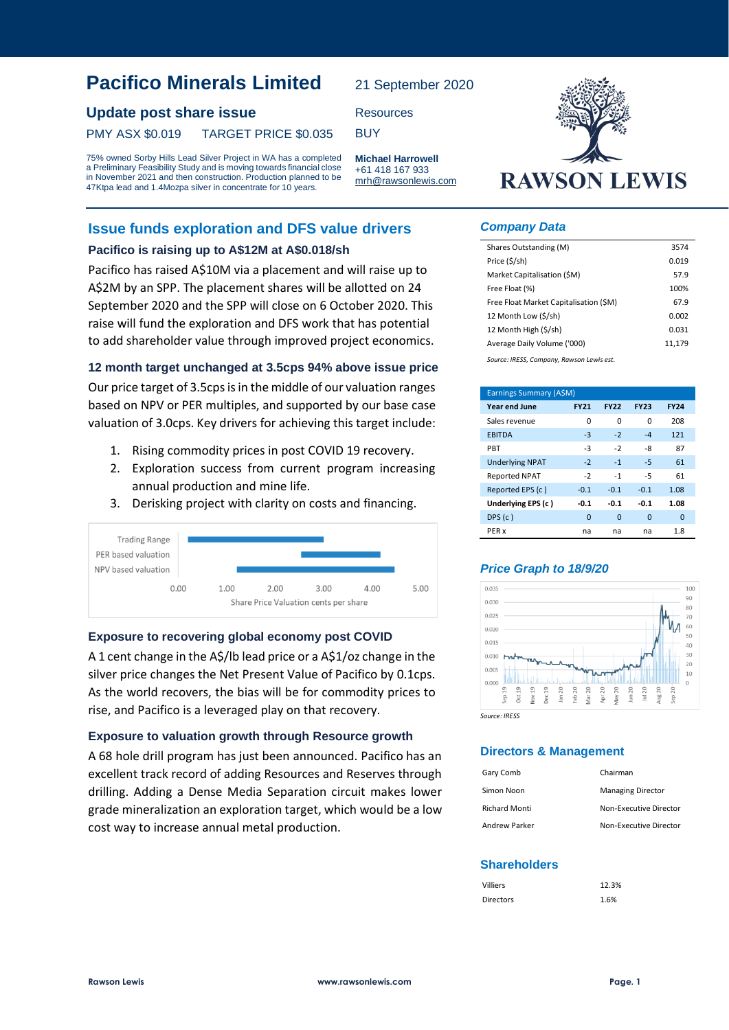# **Pacifico Minerals Limited**

# **Update post share issue** Resources

## PMY ASX \$0.019 TARGET PRICE \$0.035 BUY

75% owned Sorby Hills Lead Silver Project in WA has a completed a Preliminary Feasibility Study and is moving towards financial close in November 2021 and then construction. Production planned to be 47Ktpa lead and 1.4Mozpa silver in concentrate for 10 years.

# **Issue funds exploration and DFS value drivers**

### **Pacifico is raising up to A\$12M at A\$0.018/sh**

Pacifico has raised A\$10M via a placement and will raise up to A\$2M by an SPP. The placement shares will be allotted on 24 September 2020 and the SPP will close on 6 October 2020. This raise will fund the exploration and DFS work that has potential to add shareholder value through improved project economics.

### **12 month target unchanged at 3.5cps 94% above issue price**

Our price target of 3.5cps is in the middle of our valuation ranges based on NPV or PER multiples, and supported by our base case valuation of 3.0cps. Key drivers for achieving this target include:

- 1. Rising commodity prices in post COVID 19 recovery.
- 2. Exploration success from current program increasing annual production and mine life.
- 3. Derisking project with clarity on costs and financing.



### **Exposure to recovering global economy post COVID**

A 1 cent change in the A\$/lb lead price or a A\$1/oz change in the silver price changes the Net Present Value of Pacifico by 0.1cps. As the world recovers, the bias will be for commodity prices to rise, and Pacifico is a leveraged play on that recovery.

### **Exposure to valuation growth through Resource growth**

A 68 hole drill program has just been announced. Pacifico has an excellent track record of adding Resources and Reserves through drilling. Adding a Dense Media Separation circuit makes lower grade mineralization an exploration target, which would be a low cost way to increase annual metal production.

**RAWSON LEWIS** 

#### *Company Data*

21 September 2020

**Michael Harrowell** +61 418 167 933 mrh@rawsonlewis.com

| Shares Outstanding (M)                    | 3574   |
|-------------------------------------------|--------|
| Price (\$/sh)                             | 0.019  |
| Market Capitalisation (SM)                | 57.9   |
| Free Float (%)                            | 100%   |
| Free Float Market Capitalisation (\$M)    | 67.9   |
| 12 Month Low (\$/sh)                      | 0.002  |
| 12 Month High (\$/sh)                     | 0.031  |
| Average Daily Volume ('000)               | 11,179 |
| Source: IRESS, Company, Rawson Lewis est. |        |

| Earnings Summary (A\$M) |             |             |             |             |  |
|-------------------------|-------------|-------------|-------------|-------------|--|
| <b>Year end June</b>    | <b>FY21</b> | <b>FY22</b> | <b>FY23</b> | <b>FY24</b> |  |
| Sales revenue           | 0           | 0           | O           | 208         |  |
| <b>EBITDA</b>           | $-3$        | $-2$        | $-4$        | 121         |  |
| PBT                     | -3          | $-2$        | -8          | 87          |  |
| <b>Underlying NPAT</b>  | $-2$        | $-1$        | $-5$        | 61          |  |
| <b>Reported NPAT</b>    | $-2$        | $-1$        | $-5$        | 61          |  |
| Reported EPS (c)        | $-0.1$      | $-0.1$      | $-0.1$      | 1.08        |  |
| Underlying EPS (c)      | $-0.1$      | $-0.1$      | $-0.1$      | 1.08        |  |
| DPS(c)                  | $\mathbf 0$ | $\Omega$    | $\Omega$    | 0           |  |
| PER x                   | na          | na          | na          | 1.8         |  |

### *Price Graph to 18/9/20*



*Source: IRESS*

## **Directors & Management**

| Gary Comb            | Chairman                 |
|----------------------|--------------------------|
| Simon Noon           | <b>Managing Director</b> |
| <b>Richard Monti</b> | Non-Executive Director   |
| Andrew Parker        | Non-Executive Director   |

## **Shareholders**

| <b>Villiers</b>  | 12.3% |
|------------------|-------|
| <b>Directors</b> | 1.6%  |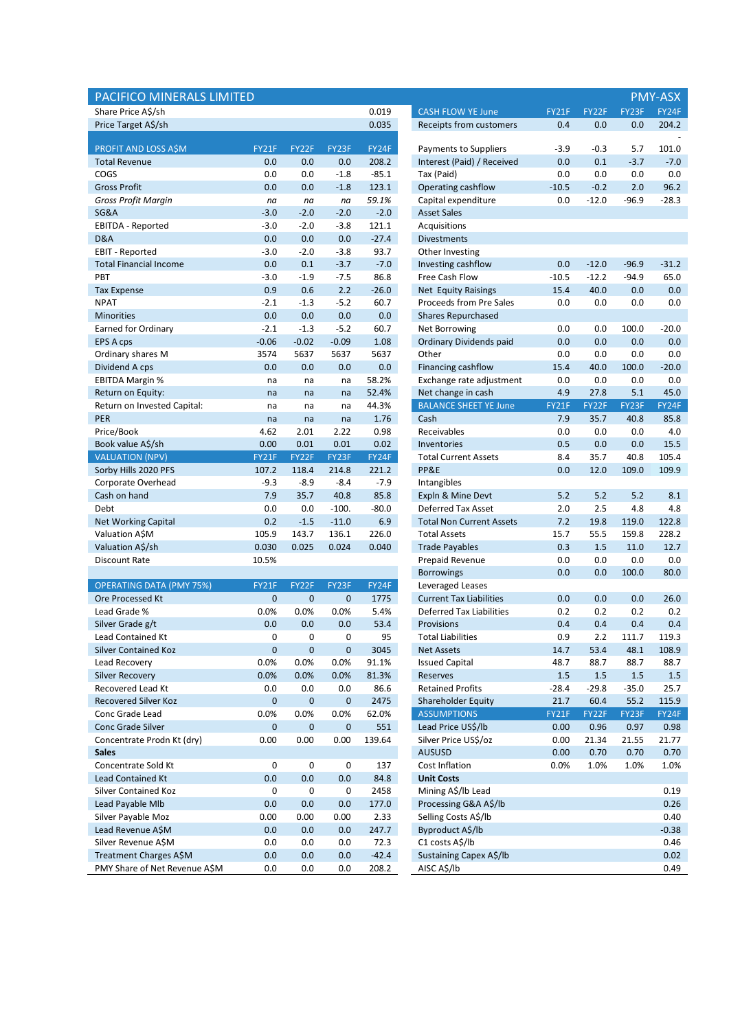| PACIFICO MINERALS LIMITED                   |             |             |             |                |                                                |             |             |              | <b>PMY-ASX</b> |
|---------------------------------------------|-------------|-------------|-------------|----------------|------------------------------------------------|-------------|-------------|--------------|----------------|
| Share Price A\$/sh                          |             |             |             | 0.019          | <b>CASH FLOW YE June</b>                       | FY21F       | FY22F       | FY23F        | FY24F          |
| Price Target A\$/sh                         |             |             |             | 0.035          | Receipts from customers                        | 0.4         | 0.0         | 0.0          | 204.2          |
|                                             |             |             |             |                |                                                |             |             |              |                |
| PROFIT AND LOSS A\$M                        | FY21F       | FY22F       | FY23F       | FY24F          | Payments to Suppliers                          | $-3.9$      | $-0.3$      | 5.7          | 101.0          |
| <b>Total Revenue</b>                        | 0.0         | 0.0         | 0.0         | 208.2          | Interest (Paid) / Received                     | 0.0         | 0.1         | $-3.7$       | $-7.0$         |
| COGS                                        | 0.0         | 0.0         | $-1.8$      | $-85.1$        | Tax (Paid)                                     | 0.0         | 0.0         | 0.0          | 0.0            |
| <b>Gross Profit</b>                         | 0.0         | 0.0         | $-1.8$      | 123.1          | Operating cashflow                             | $-10.5$     | $-0.2$      | 2.0          | 96.2           |
| <b>Gross Profit Margin</b>                  | na          | na          | na          | 59.1%          | Capital expenditure                            | 0.0         | $-12.0$     | $-96.9$      | $-28.3$        |
| SG&A                                        | $-3.0$      | $-2.0$      | $-2.0$      | $-2.0$         | <b>Asset Sales</b>                             |             |             |              |                |
| EBITDA - Reported                           | $-3.0$      | $-2.0$      | $-3.8$      | 121.1          | Acquisitions                                   |             |             |              |                |
| D&A                                         | 0.0         | 0.0         | 0.0         | $-27.4$        | <b>Divestments</b>                             |             |             |              |                |
| <b>EBIT - Reported</b>                      | $-3.0$      | $-2.0$      | $-3.8$      | 93.7           | Other Investing                                |             |             |              |                |
| <b>Total Financial Income</b>               | 0.0         | 0.1         | $-3.7$      | $-7.0$         | Investing cashflow                             | 0.0         | $-12.0$     | $-96.9$      | $-31.2$        |
| PBT                                         | $-3.0$      | $-1.9$      | $-7.5$      | 86.8           | Free Cash Flow                                 | $-10.5$     | $-12.2$     | $-94.9$      | 65.0           |
| <b>Tax Expense</b>                          | 0.9         | 0.6         | 2.2         | $-26.0$        | Net Equity Raisings                            | 15.4        | 40.0        | 0.0          | 0.0            |
| <b>NPAT</b>                                 | $-2.1$      | $-1.3$      | $-5.2$      | 60.7           | Proceeds from Pre Sales                        | 0.0         | 0.0         | 0.0          | 0.0            |
| <b>Minorities</b>                           | 0.0         | 0.0         | 0.0         | 0.0            | <b>Shares Repurchased</b>                      |             |             |              |                |
| <b>Earned for Ordinary</b>                  | $-2.1$      | $-1.3$      | $-5.2$      | 60.7           | Net Borrowing                                  | 0.0         | 0.0         | 100.0        | $-20.0$        |
| <b>EPS A cps</b>                            | $-0.06$     | $-0.02$     | $-0.09$     | 1.08           | Ordinary Dividends paid                        | 0.0         | 0.0         | 0.0          | 0.0            |
| Ordinary shares M                           | 3574        | 5637        | 5637        | 5637           | Other                                          | 0.0         | 0.0         | 0.0          | 0.0            |
| Dividend A cps                              | 0.0         | 0.0         | 0.0         | 0.0            | Financing cashflow<br>Exchange rate adjustment | 15.4<br>0.0 | 40.0        | 100.0<br>0.0 | $-20.0$        |
| <b>EBITDA Margin %</b><br>Return on Equity: | na<br>na    | na<br>na    | na<br>na    | 58.2%<br>52.4% | Net change in cash                             | 4.9         | 0.0<br>27.8 | 5.1          | 0.0<br>45.0    |
| Return on Invested Capital:                 | na          | na          | na          | 44.3%          | <b>BALANCE SHEET YE June</b>                   | FY21F       | FY22F       | FY23F        | FY24F          |
| PER                                         | na          | na          | na          | 1.76           | Cash                                           | 7.9         | 35.7        | 40.8         | 85.8           |
| Price/Book                                  | 4.62        | 2.01        | 2.22        | 0.98           | Receivables                                    | 0.0         | 0.0         | 0.0          | 4.0            |
| Book value A\$/sh                           | 0.00        | 0.01        | 0.01        | 0.02           | Inventories                                    | 0.5         | 0.0         | 0.0          | 15.5           |
| <b>VALUATION (NPV)</b>                      | FY21F       | FY22F       | FY23F       | FY24F          | <b>Total Current Assets</b>                    | 8.4         | 35.7        | 40.8         | 105.4          |
| Sorby Hills 2020 PFS                        | 107.2       | 118.4       | 214.8       | 221.2          | PP&E                                           | 0.0         | 12.0        | 109.0        | 109.9          |
| Corporate Overhead                          | $-9.3$      | $-8.9$      | $-8.4$      | $-7.9$         | Intangibles                                    |             |             |              |                |
| Cash on hand                                | 7.9         | 35.7        | 40.8        | 85.8           | Expln & Mine Devt                              | 5.2         | 5.2         | 5.2          | 8.1            |
| Debt                                        | 0.0         | 0.0         | $-100.$     | $-80.0$        | Deferred Tax Asset                             | 2.0         | 2.5         | 4.8          | 4.8            |
| <b>Net Working Capital</b>                  | 0.2         | $-1.5$      | $-11.0$     | 6.9            | <b>Total Non Current Assets</b>                | 7.2         | 19.8        | 119.0        | 122.8          |
| Valuation A\$M                              | 105.9       | 143.7       | 136.1       | 226.0          | <b>Total Assets</b>                            | 15.7        | 55.5        | 159.8        | 228.2          |
| Valuation A\$/sh                            | 0.030       | 0.025       | 0.024       | 0.040          | <b>Trade Payables</b>                          | 0.3         | 1.5         | 11.0         | 12.7           |
| <b>Discount Rate</b>                        | 10.5%       |             |             |                | Prepaid Revenue                                | 0.0         | 0.0         | 0.0          | 0.0            |
|                                             |             |             |             |                | <b>Borrowings</b>                              | 0.0         | 0.0         | 100.0        | 80.0           |
| <b>OPERATING DATA (PMY 75%)</b>             | FY21F       | FY22F       | FY23F       | FY24F          | Leveraged Leases                               |             |             |              |                |
| <b>Ore Processed Kt</b>                     | $\mathbf 0$ | $\mathbf 0$ | $\mathbf 0$ | 1775           | <b>Current Tax Liabilities</b>                 | 0.0         | 0.0         | 0.0          | 26.0           |
| Lead Grade %                                | 0.0%        | 0.0%        | 0.0%        | 5.4%           | <b>Deferred Tax Liabilities</b>                | 0.2         | 0.2         | 0.2          | 0.2            |
| Silver Grade g/t                            | 0.0         | 0.0         | 0.0         | 53.4           | Provisions                                     | 0.4         | 0.4         | 0.4          | 0.4            |
| Lead Contained Kt                           | 0           | 0           | 0           | 95             | Total Liabilities                              | 0.9         | 2.2         | 111.7        | 119.3          |
| <b>Silver Contained Koz</b>                 | $\pmb{0}$   | $\pmb{0}$   | $\mathbf 0$ | 3045           | <b>Net Assets</b>                              | 14.7        | 53.4        | 48.1         | 108.9          |
| Lead Recovery                               | 0.0%        | 0.0%        | 0.0%        | 91.1%          | <b>Issued Capital</b>                          | 48.7        | 88.7        | 88.7         | 88.7           |
| <b>Silver Recovery</b>                      | 0.0%        | 0.0%        | 0.0%        | 81.3%          | Reserves                                       | 1.5         | 1.5         | 1.5          | 1.5            |
| Recovered Lead Kt                           | 0.0         | 0.0         | 0.0         | 86.6           | <b>Retained Profits</b>                        | $-28.4$     | $-29.8$     | $-35.0$      | 25.7           |
| <b>Recovered Silver Koz</b>                 | $\pmb{0}$   | $\pmb{0}$   | $\pmb{0}$   | 2475           | Shareholder Equity                             | 21.7        | 60.4        | 55.2         | 115.9          |
| Conc Grade Lead                             | 0.0%        | 0.0%        | 0.0%        | 62.0%          | <b>ASSUMPTIONS</b>                             | FY21F       | FY22F       | FY23F        | FY24F          |
| Conc Grade Silver                           | $\pmb{0}$   | $\pmb{0}$   | $\pmb{0}$   | 551            | Lead Price US\$/lb                             | 0.00        | 0.96        | 0.97         | 0.98           |
| Concentrate Prodn Kt (dry)                  | 0.00        | 0.00        | 0.00        | 139.64         | Silver Price US\$/oz                           | 0.00        | 21.34       | 21.55        | 21.77          |
| <b>Sales</b>                                |             |             |             |                | <b>AUSUSD</b>                                  | 0.00        | 0.70        | 0.70         | 0.70           |
| Concentrate Sold Kt                         | 0           | 0           | 0           | 137            | Cost Inflation                                 | 0.0%        | 1.0%        | 1.0%         | 1.0%           |
| <b>Lead Contained Kt</b>                    | 0.0         | 0.0         | 0.0         | 84.8           | <b>Unit Costs</b>                              |             |             |              |                |
| Silver Contained Koz                        | $\pmb{0}$   | 0           | 0           | 2458           | Mining A\$/lb Lead                             |             |             |              | 0.19           |
| Lead Payable Mlb                            | 0.0         | 0.0         | 0.0         | 177.0          | Processing G&A A\$/lb                          |             |             |              | 0.26           |
| Silver Payable Moz                          | 0.00        | 0.00        | 0.00        | 2.33           | Selling Costs A\$/lb                           |             |             |              | 0.40           |
| Lead Revenue A\$M                           | 0.0         | 0.0         | 0.0         | 247.7          | Byproduct A\$/lb                               |             |             |              | $-0.38$        |
| Silver Revenue A\$M                         | 0.0         | 0.0         | 0.0         | 72.3           | C1 costs A\$/lb                                |             |             |              | 0.46           |
| Treatment Charges A\$M                      | 0.0         | 0.0         | 0.0         | $-42.4$        | Sustaining Capex A\$/lb                        |             |             |              | 0.02           |
| PMY Share of Net Revenue A\$M               | 0.0         | 0.0         | 0.0         | 208.2          | AISC A\$/lb                                    |             |             |              | 0.49           |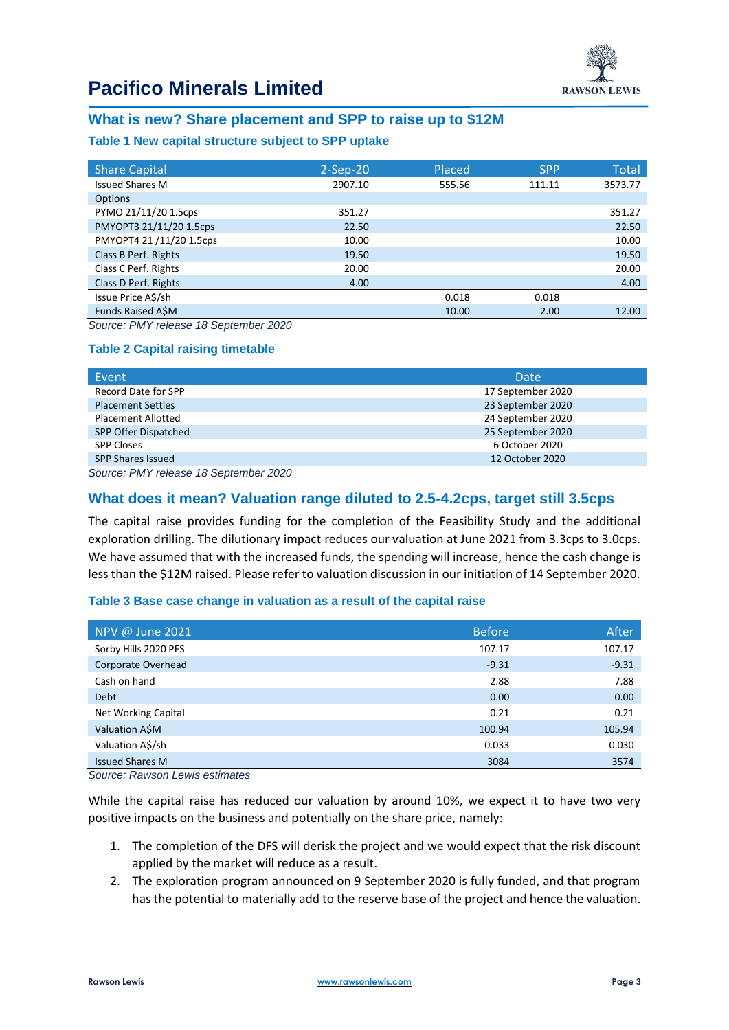

# **Pacifico Minerals Limited**

# **What is new? Share placement and SPP to raise up to \$12M**

### **Table 1 New capital structure subject to SPP uptake**

| <b>Share Capital</b>    | $2-Sep-20$ | Placed | <b>SPP</b> | <b>Total</b> |
|-------------------------|------------|--------|------------|--------------|
| <b>Issued Shares M</b>  | 2907.10    | 555.56 | 111.11     | 3573.77      |
| <b>Options</b>          |            |        |            |              |
| PYMO 21/11/20 1.5cps    | 351.27     |        |            | 351.27       |
| PMYOPT3 21/11/20 1.5cps | 22.50      |        |            | 22.50        |
| PMYOPT4 21/11/20 1.5cps | 10.00      |        |            | 10.00        |
| Class B Perf. Rights    | 19.50      |        |            | 19.50        |
| Class C Perf. Rights    | 20.00      |        |            | 20.00        |
| Class D Perf. Rights    | 4.00       |        |            | 4.00         |
| Issue Price A\$/sh      |            | 0.018  | 0.018      |              |
| Funds Raised ASM        |            | 10.00  | 2.00       | 12.00        |

*Source: PMY release 18 September 2020*

### **Table 2 Capital raising timetable**

| Event                     | Date              |
|---------------------------|-------------------|
| Record Date for SPP       | 17 September 2020 |
| <b>Placement Settles</b>  | 23 September 2020 |
| <b>Placement Allotted</b> | 24 September 2020 |
| SPP Offer Dispatched      | 25 September 2020 |
| <b>SPP Closes</b>         | 6 October 2020    |
| <b>SPP Shares Issued</b>  | 12 October 2020   |

*Source: PMY release 18 September 2020*

# **What does it mean? Valuation range diluted to 2.5-4.2cps, target still 3.5cps**

The capital raise provides funding for the completion of the Feasibility Study and the additional exploration drilling. The dilutionary impact reduces our valuation at June 2021 from 3.3cps to 3.0cps. We have assumed that with the increased funds, the spending will increase, hence the cash change is less than the \$12M raised. Please refer to valuation discussion in our initiation of 14 September 2020.

### **Table 3 Base case change in valuation as a result of the capital raise**

| NPV @ June 2021        | <b>Before</b> | After   |
|------------------------|---------------|---------|
| Sorby Hills 2020 PFS   | 107.17        | 107.17  |
| Corporate Overhead     | $-9.31$       | $-9.31$ |
| Cash on hand           | 2.88          | 7.88    |
| <b>Debt</b>            | 0.00          | 0.00    |
| Net Working Capital    | 0.21          | 0.21    |
| Valuation A\$M         | 100.94        | 105.94  |
| Valuation A\$/sh       | 0.033         | 0.030   |
| <b>Issued Shares M</b> | 3084          | 3574    |

*Source: Rawson Lewis estimates*

While the capital raise has reduced our valuation by around 10%, we expect it to have two very positive impacts on the business and potentially on the share price, namely:

- 1. The completion of the DFS will derisk the project and we would expect that the risk discount applied by the market will reduce as a result.
- 2. The exploration program announced on 9 September 2020 is fully funded, and that program has the potential to materially add to the reserve base of the project and hence the valuation.